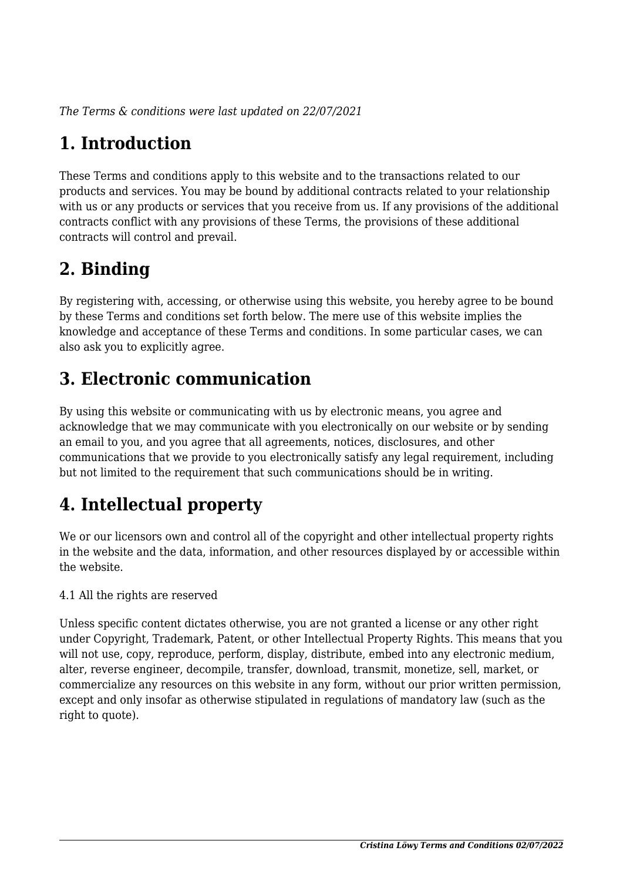*The Terms & conditions were last updated on 22/07/2021*

# **1. Introduction**

These Terms and conditions apply to this website and to the transactions related to our products and services. You may be bound by additional contracts related to your relationship with us or any products or services that you receive from us. If any provisions of the additional contracts conflict with any provisions of these Terms, the provisions of these additional contracts will control and prevail.

## **2. Binding**

By registering with, accessing, or otherwise using this website, you hereby agree to be bound by these Terms and conditions set forth below. The mere use of this website implies the knowledge and acceptance of these Terms and conditions. In some particular cases, we can also ask you to explicitly agree.

# **3. Electronic communication**

By using this website or communicating with us by electronic means, you agree and acknowledge that we may communicate with you electronically on our website or by sending an email to you, and you agree that all agreements, notices, disclosures, and other communications that we provide to you electronically satisfy any legal requirement, including but not limited to the requirement that such communications should be in writing.

# **4. Intellectual property**

We or our licensors own and control all of the copyright and other intellectual property rights in the website and the data, information, and other resources displayed by or accessible within the website.

4.1 All the rights are reserved

Unless specific content dictates otherwise, you are not granted a license or any other right under Copyright, Trademark, Patent, or other Intellectual Property Rights. This means that you will not use, copy, reproduce, perform, display, distribute, embed into any electronic medium, alter, reverse engineer, decompile, transfer, download, transmit, monetize, sell, market, or commercialize any resources on this website in any form, without our prior written permission, except and only insofar as otherwise stipulated in regulations of mandatory law (such as the right to quote).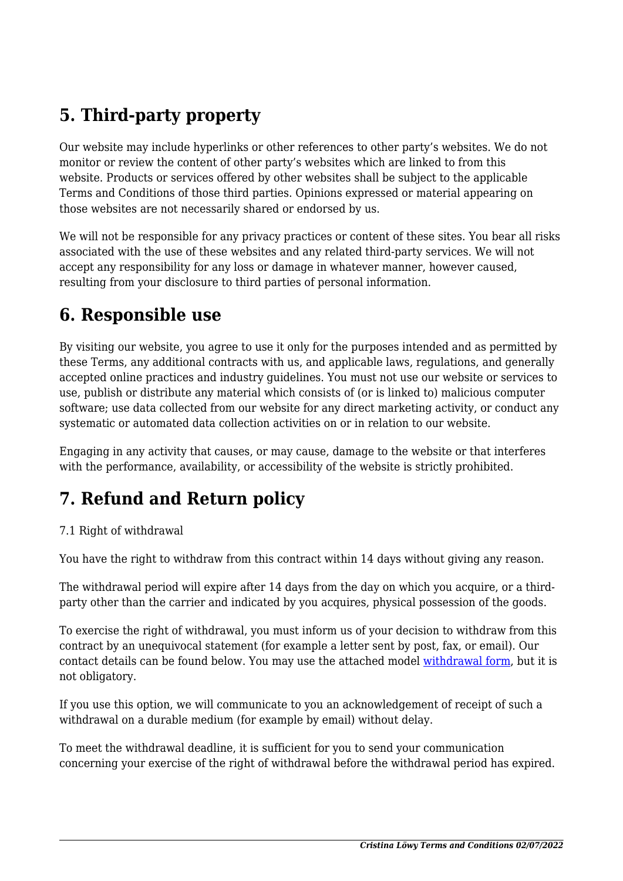# **5. Third-party property**

Our website may include hyperlinks or other references to other party's websites. We do not monitor or review the content of other party's websites which are linked to from this website. Products or services offered by other websites shall be subject to the applicable Terms and Conditions of those third parties. Opinions expressed or material appearing on those websites are not necessarily shared or endorsed by us.

We will not be responsible for any privacy practices or content of these sites. You bear all risks associated with the use of these websites and any related third-party services. We will not accept any responsibility for any loss or damage in whatever manner, however caused, resulting from your disclosure to third parties of personal information.

#### **6. Responsible use**

By visiting our website, you agree to use it only for the purposes intended and as permitted by these Terms, any additional contracts with us, and applicable laws, regulations, and generally accepted online practices and industry guidelines. You must not use our website or services to use, publish or distribute any material which consists of (or is linked to) malicious computer software; use data collected from our website for any direct marketing activity, or conduct any systematic or automated data collection activities on or in relation to our website.

Engaging in any activity that causes, or may cause, damage to the website or that interferes with the performance, availability, or accessibility of the website is strictly prohibited.

## **7. Refund and Return policy**

#### 7.1 Right of withdrawal

You have the right to withdraw from this contract within 14 days without giving any reason.

The withdrawal period will expire after 14 days from the day on which you acquire, or a thirdparty other than the carrier and indicated by you acquires, physical possession of the goods.

To exercise the right of withdrawal, you must inform us of your decision to withdraw from this contract by an unequivocal statement (for example a letter sent by post, fax, or email). Our contact details can be found below. You may use the attached model [withdrawal form](https://cristinaloewy.de/wp-content/uploads/complianz/withdrawal-forms/withdrawal-form-de.pdf), but it is not obligatory.

If you use this option, we will communicate to you an acknowledgement of receipt of such a withdrawal on a durable medium (for example by email) without delay.

To meet the withdrawal deadline, it is sufficient for you to send your communication concerning your exercise of the right of withdrawal before the withdrawal period has expired.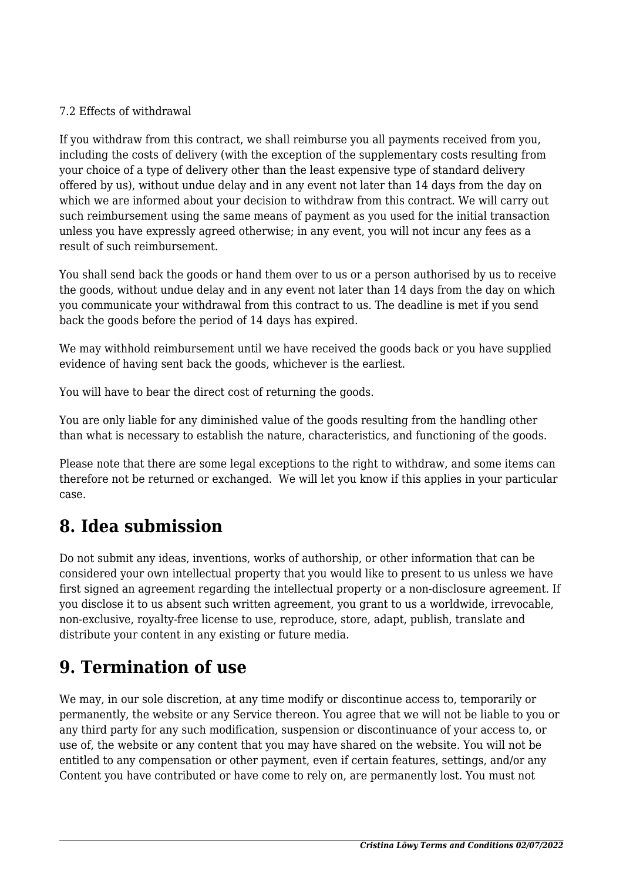#### 7.2 Effects of withdrawal

If you withdraw from this contract, we shall reimburse you all payments received from you, including the costs of delivery (with the exception of the supplementary costs resulting from your choice of a type of delivery other than the least expensive type of standard delivery offered by us), without undue delay and in any event not later than 14 days from the day on which we are informed about your decision to withdraw from this contract. We will carry out such reimbursement using the same means of payment as you used for the initial transaction unless you have expressly agreed otherwise; in any event, you will not incur any fees as a result of such reimbursement.

You shall send back the goods or hand them over to us or a person authorised by us to receive the goods, without undue delay and in any event not later than 14 days from the day on which you communicate your withdrawal from this contract to us. The deadline is met if you send back the goods before the period of 14 days has expired.

We may withhold reimbursement until we have received the goods back or you have supplied evidence of having sent back the goods, whichever is the earliest.

You will have to bear the direct cost of returning the goods.

You are only liable for any diminished value of the goods resulting from the handling other than what is necessary to establish the nature, characteristics, and functioning of the goods.

Please note that there are some legal exceptions to the right to withdraw, and some items can therefore not be returned or exchanged. We will let you know if this applies in your particular case.

### **8. Idea submission**

Do not submit any ideas, inventions, works of authorship, or other information that can be considered your own intellectual property that you would like to present to us unless we have first signed an agreement regarding the intellectual property or a non-disclosure agreement. If you disclose it to us absent such written agreement, you grant to us a worldwide, irrevocable, non-exclusive, royalty-free license to use, reproduce, store, adapt, publish, translate and distribute your content in any existing or future media.

#### **9. Termination of use**

We may, in our sole discretion, at any time modify or discontinue access to, temporarily or permanently, the website or any Service thereon. You agree that we will not be liable to you or any third party for any such modification, suspension or discontinuance of your access to, or use of, the website or any content that you may have shared on the website. You will not be entitled to any compensation or other payment, even if certain features, settings, and/or any Content you have contributed or have come to rely on, are permanently lost. You must not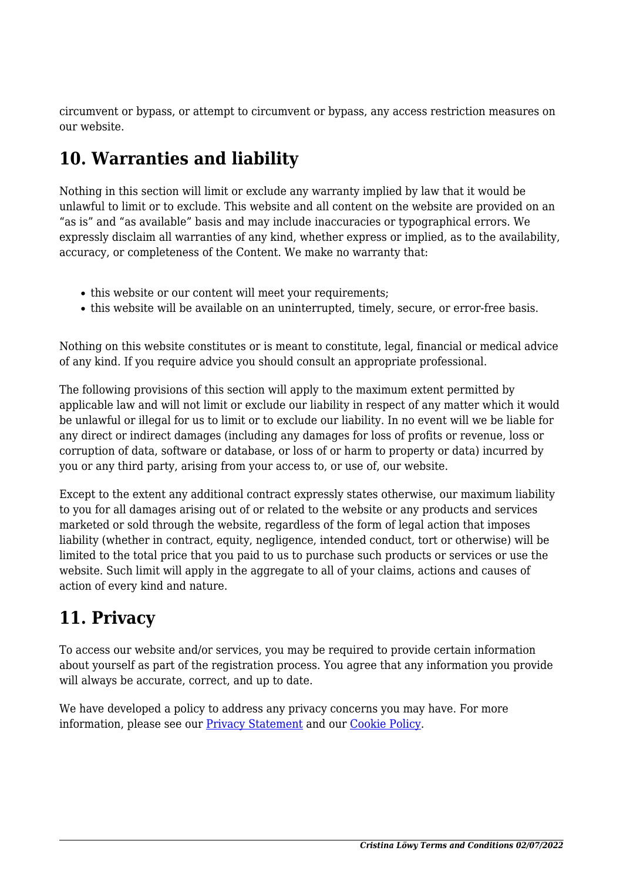circumvent or bypass, or attempt to circumvent or bypass, any access restriction measures on our website.

### **10. Warranties and liability**

Nothing in this section will limit or exclude any warranty implied by law that it would be unlawful to limit or to exclude. This website and all content on the website are provided on an "as is" and "as available" basis and may include inaccuracies or typographical errors. We expressly disclaim all warranties of any kind, whether express or implied, as to the availability, accuracy, or completeness of the Content. We make no warranty that:

- this website or our content will meet your requirements;
- this website will be available on an uninterrupted, timely, secure, or error-free basis.

Nothing on this website constitutes or is meant to constitute, legal, financial or medical advice of any kind. If you require advice you should consult an appropriate professional.

The following provisions of this section will apply to the maximum extent permitted by applicable law and will not limit or exclude our liability in respect of any matter which it would be unlawful or illegal for us to limit or to exclude our liability. In no event will we be liable for any direct or indirect damages (including any damages for loss of profits or revenue, loss or corruption of data, software or database, or loss of or harm to property or data) incurred by you or any third party, arising from your access to, or use of, our website.

Except to the extent any additional contract expressly states otherwise, our maximum liability to you for all damages arising out of or related to the website or any products and services marketed or sold through the website, regardless of the form of legal action that imposes liability (whether in contract, equity, negligence, intended conduct, tort or otherwise) will be limited to the total price that you paid to us to purchase such products or services or use the website. Such limit will apply in the aggregate to all of your claims, actions and causes of action of every kind and nature.

### **11. Privacy**

To access our website and/or services, you may be required to provide certain information about yourself as part of the registration process. You agree that any information you provide will always be accurate, correct, and up to date.

We have developed a policy to address any privacy concerns you may have. For more information, please see our **Privacy Statement** and our **[Cookie Policy](#page--1-0)**.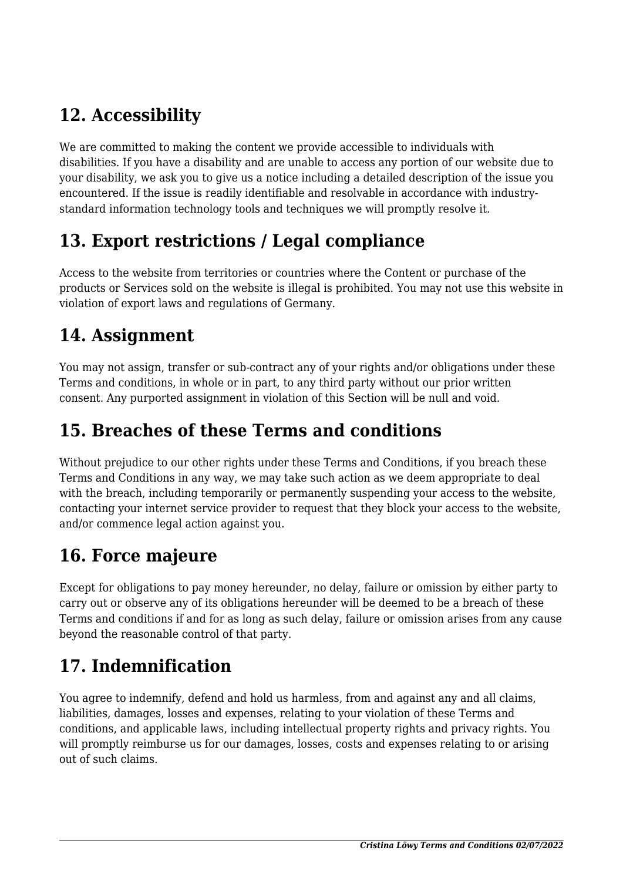# **12. Accessibility**

We are committed to making the content we provide accessible to individuals with disabilities. If you have a disability and are unable to access any portion of our website due to your disability, we ask you to give us a notice including a detailed description of the issue you encountered. If the issue is readily identifiable and resolvable in accordance with industrystandard information technology tools and techniques we will promptly resolve it.

### **13. Export restrictions / Legal compliance**

Access to the website from territories or countries where the Content or purchase of the products or Services sold on the website is illegal is prohibited. You may not use this website in violation of export laws and regulations of Germany.

#### **14. Assignment**

You may not assign, transfer or sub-contract any of your rights and/or obligations under these Terms and conditions, in whole or in part, to any third party without our prior written consent. Any purported assignment in violation of this Section will be null and void.

#### **15. Breaches of these Terms and conditions**

Without prejudice to our other rights under these Terms and Conditions, if you breach these Terms and Conditions in any way, we may take such action as we deem appropriate to deal with the breach, including temporarily or permanently suspending your access to the website, contacting your internet service provider to request that they block your access to the website, and/or commence legal action against you.

### **16. Force majeure**

Except for obligations to pay money hereunder, no delay, failure or omission by either party to carry out or observe any of its obligations hereunder will be deemed to be a breach of these Terms and conditions if and for as long as such delay, failure or omission arises from any cause beyond the reasonable control of that party.

## **17. Indemnification**

You agree to indemnify, defend and hold us harmless, from and against any and all claims, liabilities, damages, losses and expenses, relating to your violation of these Terms and conditions, and applicable laws, including intellectual property rights and privacy rights. You will promptly reimburse us for our damages, losses, costs and expenses relating to or arising out of such claims.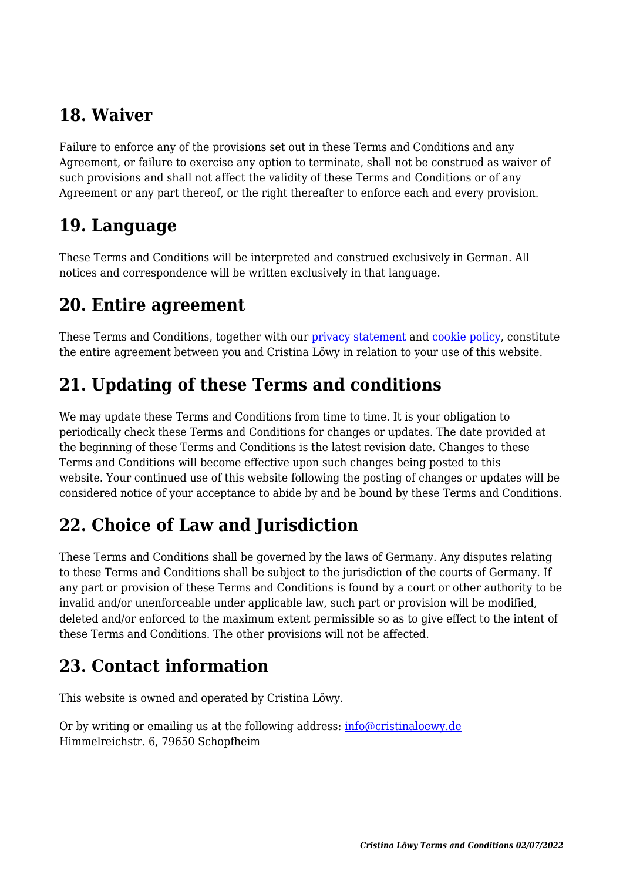### **18. Waiver**

Failure to enforce any of the provisions set out in these Terms and Conditions and any Agreement, or failure to exercise any option to terminate, shall not be construed as waiver of such provisions and shall not affect the validity of these Terms and Conditions or of any Agreement or any part thereof, or the right thereafter to enforce each and every provision.

#### **19. Language**

These Terms and Conditions will be interpreted and construed exclusively in German. All notices and correspondence will be written exclusively in that language.

#### **20. Entire agreement**

These Terms and Conditions, together with our [privacy statement](#page--1-0) and [cookie policy,](#page--1-0) constitute the entire agreement between you and Cristina Löwy in relation to your use of this website.

## **21. Updating of these Terms and conditions**

We may update these Terms and Conditions from time to time. It is your obligation to periodically check these Terms and Conditions for changes or updates. The date provided at the beginning of these Terms and Conditions is the latest revision date. Changes to these Terms and Conditions will become effective upon such changes being posted to this website. Your continued use of this website following the posting of changes or updates will be considered notice of your acceptance to abide by and be bound by these Terms and Conditions.

## **22. Choice of Law and Jurisdiction**

These Terms and Conditions shall be governed by the laws of Germany. Any disputes relating to these Terms and Conditions shall be subject to the jurisdiction of the courts of Germany. If any part or provision of these Terms and Conditions is found by a court or other authority to be invalid and/or unenforceable under applicable law, such part or provision will be modified, deleted and/or enforced to the maximum extent permissible so as to give effect to the intent of these Terms and Conditions. The other provisions will not be affected.

### **23. Contact information**

This website is owned and operated by Cristina Löwy.

Or by writing or emailing us at the following address: [info@cristinaloewy.de](#page--1-0) Himmelreichstr. 6, 79650 Schopfheim